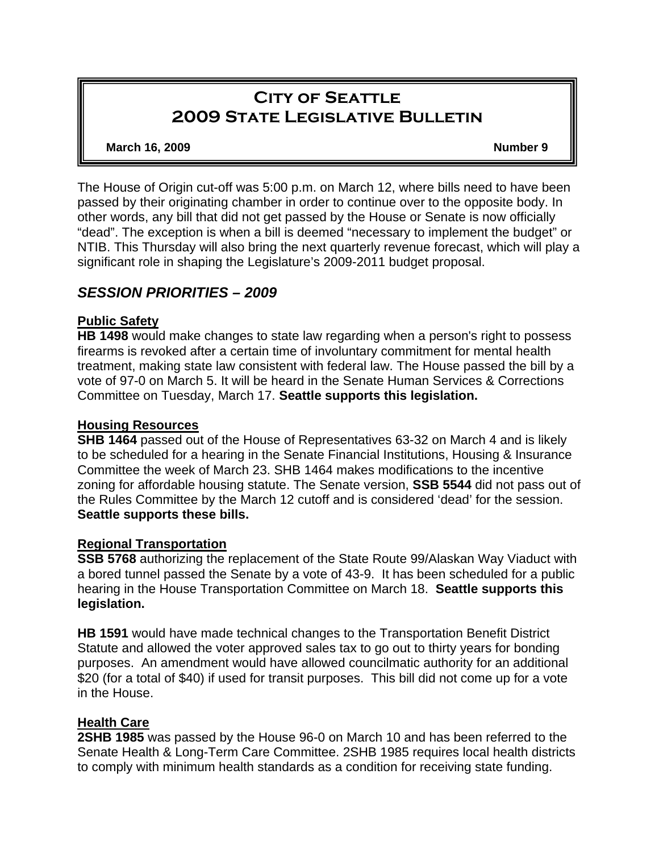# **City of Seattle 2009 State Legislative Bulletin**

#### **March 16, 2009**  Number 9

The House of Origin cut-off was 5:00 p.m. on March 12, where bills need to have been passed by their originating chamber in order to continue over to the opposite body. In other words, any bill that did not get passed by the House or Senate is now officially "dead". The exception is when a bill is deemed "necessary to implement the budget" or NTIB. This Thursday will also bring the next quarterly revenue forecast, which will play a significant role in shaping the Legislature's 2009-2011 budget proposal.

### *SESSION PRIORITIES – 2009*

### **Public Safety**

**HB 1498** would make changes to state law regarding when a person's right to possess firearms is revoked after a certain time of involuntary commitment for mental health treatment, making state law consistent with federal law. The House passed the bill by a vote of 97-0 on March 5. It will be heard in the Senate Human Services & Corrections Committee on Tuesday, March 17. **Seattle supports this legislation.**

### **Housing Resources**

**SHB 1464** passed out of the House of Representatives 63-32 on March 4 and is likely to be scheduled for a hearing in the Senate Financial Institutions, Housing & Insurance Committee the week of March 23. SHB 1464 makes modifications to the incentive zoning for affordable housing statute. The Senate version, **SSB 5544** did not pass out of the Rules Committee by the March 12 cutoff and is considered 'dead' for the session. **Seattle supports these bills.**

### **Regional Transportation**

**SSB 5768** authorizing the replacement of the State Route 99/Alaskan Way Viaduct with a bored tunnel passed the Senate by a vote of 43-9. It has been scheduled for a public hearing in the House Transportation Committee on March 18. **Seattle supports this legislation.**

**HB 1591** would have made technical changes to the Transportation Benefit District Statute and allowed the voter approved sales tax to go out to thirty years for bonding purposes. An amendment would have allowed councilmatic authority for an additional \$20 (for a total of \$40) if used for transit purposes. This bill did not come up for a vote in the House.

### **Health Care**

**2SHB 1985** was passed by the House 96-0 on March 10 and has been referred to the Senate Health & Long-Term Care Committee. 2SHB 1985 requires local health districts to comply with minimum health standards as a condition for receiving state funding.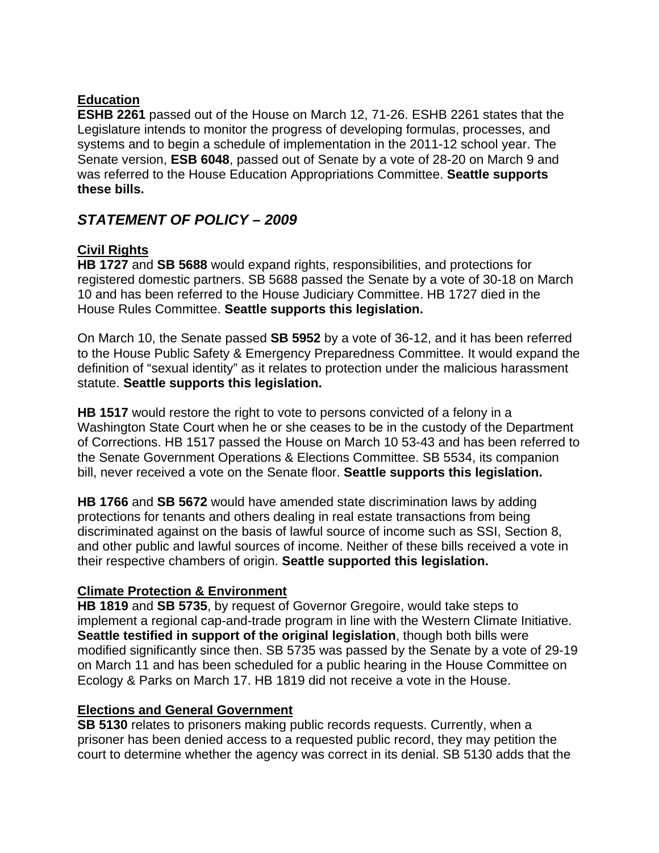### **Education**

**ESHB 2261** passed out of the House on March 12, 71-26. ESHB 2261 states that the Legislature intends to monitor the progress of developing formulas, processes, and systems and to begin a schedule of implementation in the 2011-12 school year. The Senate version, **ESB 6048**, passed out of Senate by a vote of 28-20 on March 9 and was referred to the House Education Appropriations Committee. **Seattle supports these bills.**

## *STATEMENT OF POLICY – 2009*

### **Civil Rights**

**HB 1727** and **SB 5688** would expand rights, responsibilities, and protections for registered domestic partners. SB 5688 passed the Senate by a vote of 30-18 on March 10 and has been referred to the House Judiciary Committee. HB 1727 died in the House Rules Committee. **Seattle supports this legislation.**

On March 10, the Senate passed **SB 5952** by a vote of 36-12, and it has been referred to the House Public Safety & Emergency Preparedness Committee. It would expand the definition of "sexual identity" as it relates to protection under the malicious harassment statute. **Seattle supports this legislation.** 

**HB 1517** would restore the right to vote to persons convicted of a felony in a Washington State Court when he or she ceases to be in the custody of the Department of Corrections. HB 1517 passed the House on March 10 53-43 and has been referred to the Senate Government Operations & Elections Committee. SB 5534, its companion bill, never received a vote on the Senate floor. **Seattle supports this legislation.**

**HB 1766** and **SB 5672** would have amended state discrimination laws by adding protections for tenants and others dealing in real estate transactions from being discriminated against on the basis of lawful source of income such as SSI, Section 8, and other public and lawful sources of income. Neither of these bills received a vote in their respective chambers of origin. **Seattle supported this legislation.**

### **Climate Protection & Environment**

**HB 1819** and **SB 5735**, by request of Governor Gregoire, would take steps to implement a regional cap-and-trade program in line with the Western Climate Initiative. **Seattle testified in support of the original legislation**, though both bills were modified significantly since then. SB 5735 was passed by the Senate by a vote of 29-19 on March 11 and has been scheduled for a public hearing in the House Committee on Ecology & Parks on March 17. HB 1819 did not receive a vote in the House.

### **Elections and General Government**

**SB 5130** relates to prisoners making public records requests. Currently, when a prisoner has been denied access to a requested public record, they may petition the court to determine whether the agency was correct in its denial. SB 5130 adds that the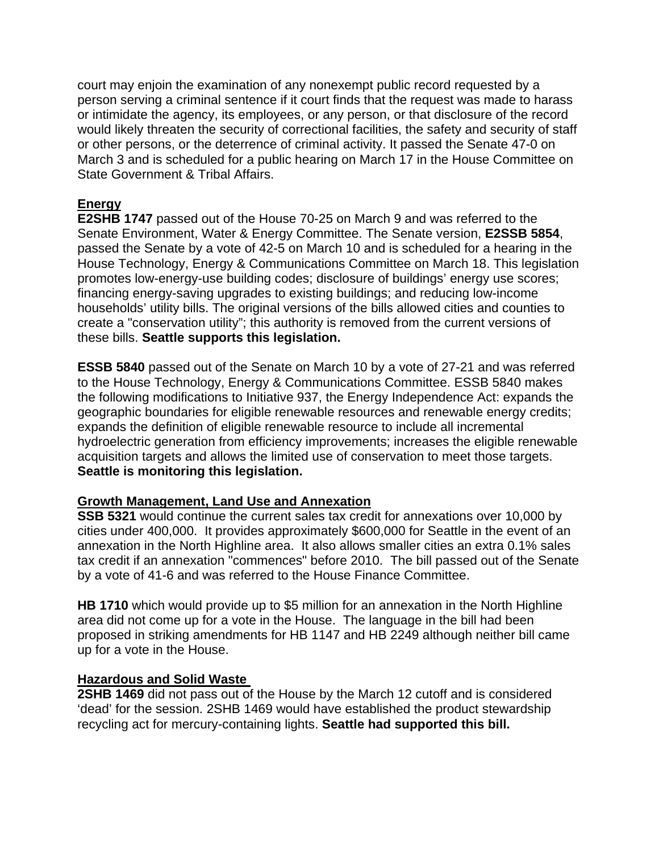court may enjoin the examination of any nonexempt public record requested by a person serving a criminal sentence if it court finds that the request was made to harass or intimidate the agency, its employees, or any person, or that disclosure of the record would likely threaten the security of correctional facilities, the safety and security of staff or other persons, or the deterrence of criminal activity. It passed the Senate 47-0 on March 3 and is scheduled for a public hearing on March 17 in the House Committee on State Government & Tribal Affairs.

### **Energy**

**E2SHB 1747** passed out of the House 70-25 on March 9 and was referred to the Senate Environment, Water & Energy Committee. The Senate version, **E2SSB 5854**, passed the Senate by a vote of 42-5 on March 10 and is scheduled for a hearing in the House Technology, Energy & Communications Committee on March 18. This legislation promotes low-energy-use building codes; disclosure of buildings' energy use scores; financing energy-saving upgrades to existing buildings; and reducing low-income households' utility bills. The original versions of the bills allowed cities and counties to create a "conservation utility"; this authority is removed from the current versions of these bills. **Seattle supports this legislation.** 

**ESSB 5840** passed out of the Senate on March 10 by a vote of 27-21 and was referred to the House Technology, Energy & Communications Committee. ESSB 5840 makes the following modifications to Initiative 937, the Energy Independence Act: expands the geographic boundaries for eligible renewable resources and renewable energy credits; expands the definition of eligible renewable resource to include all incremental hydroelectric generation from efficiency improvements; increases the eligible renewable acquisition targets and allows the limited use of conservation to meet those targets. **Seattle is monitoring this legislation.**

### **Growth Management, Land Use and Annexation**

**SSB 5321** would continue the current sales tax credit for annexations over 10,000 by cities under 400,000. It provides approximately \$600,000 for Seattle in the event of an annexation in the North Highline area. It also allows smaller cities an extra 0.1% sales tax credit if an annexation "commences" before 2010. The bill passed out of the Senate by a vote of 41-6 and was referred to the House Finance Committee.

**HB 1710** which would provide up to \$5 million for an annexation in the North Highline area did not come up for a vote in the House. The language in the bill had been proposed in striking amendments for HB 1147 and HB 2249 although neither bill came up for a vote in the House.

### **Hazardous and Solid Waste**

**2SHB 1469** did not pass out of the House by the March 12 cutoff and is considered 'dead' for the session. 2SHB 1469 would have established the product stewardship recycling act for mercury-containing lights. **Seattle had supported this bill.**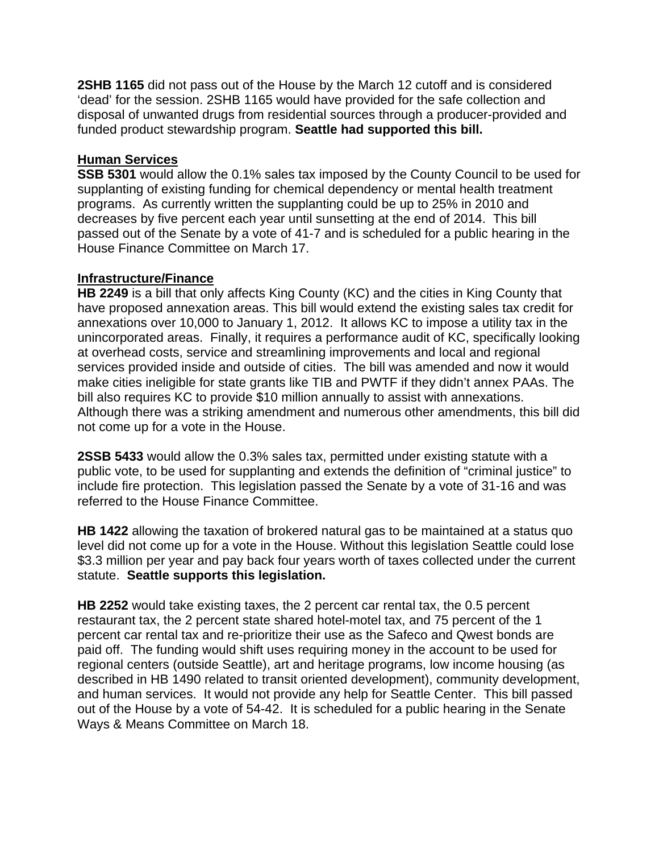**2SHB 1165** did not pass out of the House by the March 12 cutoff and is considered 'dead' for the session. 2SHB 1165 would have provided for the safe collection and disposal of unwanted drugs from residential sources through a producer-provided and funded product stewardship program. **Seattle had supported this bill.** 

### **Human Services**

**SSB 5301** would allow the 0.1% sales tax imposed by the County Council to be used for supplanting of existing funding for chemical dependency or mental health treatment programs. As currently written the supplanting could be up to 25% in 2010 and decreases by five percent each year until sunsetting at the end of 2014. This bill passed out of the Senate by a vote of 41-7 and is scheduled for a public hearing in the House Finance Committee on March 17.

### **Infrastructure/Finance**

**HB 2249** is a bill that only affects King County (KC) and the cities in King County that have proposed annexation areas. This bill would extend the existing sales tax credit for annexations over 10,000 to January 1, 2012. It allows KC to impose a utility tax in the unincorporated areas. Finally, it requires a performance audit of KC, specifically looking at overhead costs, service and streamlining improvements and local and regional services provided inside and outside of cities. The bill was amended and now it would make cities ineligible for state grants like TIB and PWTF if they didn't annex PAAs. The bill also requires KC to provide \$10 million annually to assist with annexations. Although there was a striking amendment and numerous other amendments, this bill did not come up for a vote in the House.

**2SSB 5433** would allow the 0.3% sales tax, permitted under existing statute with a public vote, to be used for supplanting and extends the definition of "criminal justice" to include fire protection. This legislation passed the Senate by a vote of 31-16 and was referred to the House Finance Committee.

**HB 1422** allowing the taxation of brokered natural gas to be maintained at a status quo level did not come up for a vote in the House. Without this legislation Seattle could lose \$3.3 million per year and pay back four years worth of taxes collected under the current statute. **Seattle supports this legislation.**

**HB 2252** would take existing taxes, the 2 percent car rental tax, the 0.5 percent restaurant tax, the 2 percent state shared hotel-motel tax, and 75 percent of the 1 percent car rental tax and re-prioritize their use as the Safeco and Qwest bonds are paid off. The funding would shift uses requiring money in the account to be used for regional centers (outside Seattle), art and heritage programs, low income housing (as described in HB 1490 related to transit oriented development), community development, and human services. It would not provide any help for Seattle Center. This bill passed out of the House by a vote of 54-42. It is scheduled for a public hearing in the Senate Ways & Means Committee on March 18.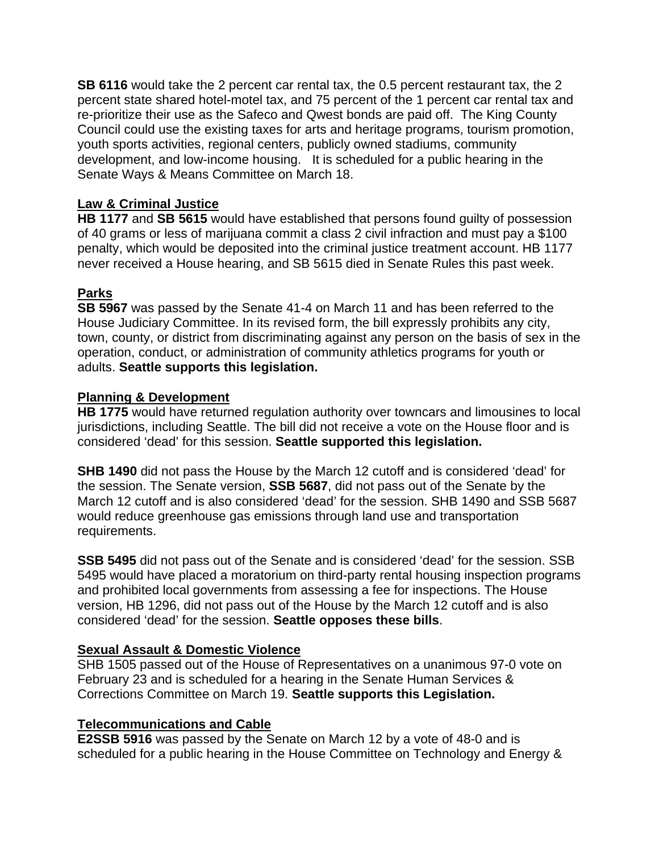**SB 6116** would take the 2 percent car rental tax, the 0.5 percent restaurant tax, the 2 percent state shared hotel-motel tax, and 75 percent of the 1 percent car rental tax and re-prioritize their use as the Safeco and Qwest bonds are paid off. The King County Council could use the existing taxes for arts and heritage programs, tourism promotion, youth sports activities, regional centers, publicly owned stadiums, community development, and low-income housing. It is scheduled for a public hearing in the Senate Ways & Means Committee on March 18.

### **Law & Criminal Justice**

**HB 1177** and **SB 5615** would have established that persons found guilty of possession of 40 grams or less of marijuana commit a class 2 civil infraction and must pay a \$100 penalty, which would be deposited into the criminal justice treatment account. HB 1177 never received a House hearing, and SB 5615 died in Senate Rules this past week.

### **Parks**

**SB 5967** was passed by the Senate 41-4 on March 11 and has been referred to the House Judiciary Committee. In its revised form, the bill expressly prohibits any city, town, county, or district from discriminating against any person on the basis of sex in the operation, conduct, or administration of community athletics programs for youth or adults. **Seattle supports this legislation.**

### **Planning & Development**

**HB 1775** would have returned regulation authority over towncars and limousines to local jurisdictions, including Seattle. The bill did not receive a vote on the House floor and is considered 'dead' for this session. **Seattle supported this legislation.**

**SHB 1490** did not pass the House by the March 12 cutoff and is considered 'dead' for the session. The Senate version, **SSB 5687**, did not pass out of the Senate by the March 12 cutoff and is also considered 'dead' for the session. SHB 1490 and SSB 5687 would reduce greenhouse gas emissions through land use and transportation requirements.

**SSB 5495** did not pass out of the Senate and is considered 'dead' for the session. SSB 5495 would have placed a moratorium on third-party rental housing inspection programs and prohibited local governments from assessing a fee for inspections. The House version, HB 1296, did not pass out of the House by the March 12 cutoff and is also considered 'dead' for the session. **Seattle opposes these bills**.

### **Sexual Assault & Domestic Violence**

SHB 1505 passed out of the House of Representatives on a unanimous 97-0 vote on February 23 and is scheduled for a hearing in the Senate Human Services & Corrections Committee on March 19. **Seattle supports this Legislation.** 

### **Telecommunications and Cable**

**E2SSB 5916** was passed by the Senate on March 12 by a vote of 48-0 and is scheduled for a public hearing in the House Committee on Technology and Energy &